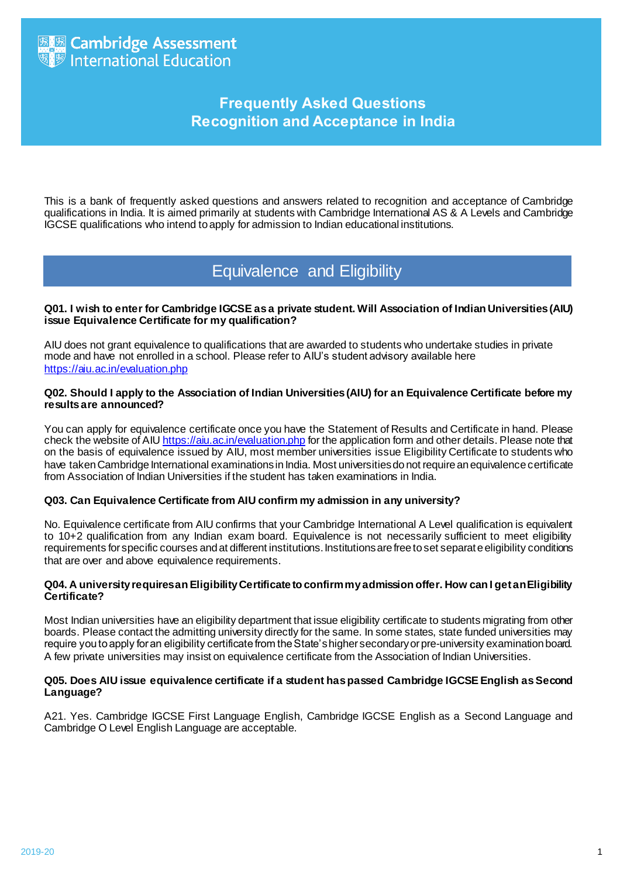## **Frequently Asked Questions Recognition and Acceptance in India**

This is a bank of frequently asked questions and answers related to recognition and acceptance of Cambridge qualifications in India. It is aimed primarily at students with Cambridge International AS & A Levels and Cambridge IGCSE qualifications who intend to apply for admission to Indian educational institutions.

### Equivalence and Eligibility

#### **Q01. I wish to enter for Cambridge IGCSE as a private student. Will Association of Indian Universities (AIU) issue Equivalence Certificate for my qualification?**

AIU does not grant equivalence to qualifications that are awarded to students who undertake studies in private mode and have not enrolled in a school. Please refer to AIU's student advisory available here <https://aiu.ac.in/evaluation.php>

#### **Q02. Should I apply to the Association of Indian Universities (AIU) for an Equivalence Certificate before my results are announced?**

You can apply for equivalence certificate once you have the Statement of Results and Certificate in hand. Please check the website of AI[U https://aiu.ac.in/evaluation.php](https://aiu.ac.in/evaluation.php) for the application form and other details. Please note that on the basis of equivalence issued by AIU, most member universities issue Eligibility Certificate to students who have taken Cambridge International examinations in India. Most universities do not require an equivalence certificate from Association of Indian Universities if the student has taken examinations in India.

#### **Q03. Can Equivalence Certificate from AIU confirm my admission in any university?**

No. Equivalence certificate from AIU confirms that your Cambridge International A Level qualification is equivalent to 10+2 qualification from any Indian exam board. Equivalence is not necessarily sufficient to meet eligibility requirements for specific courses and at different institutions. Institutions are free to set separate eligibility conditions that are over and above equivalence requirements.

#### **Q04. A university requires an Eligibility Certificate to confirm my admission offer. How can I get an Eligibility Certificate?**

Most Indian universities have an eligibility department that issue eligibility certificate to students migrating from other boards. Please contact the admitting university directly for the same. In some states, state funded universities may require you to apply for an eligibility certificate from the State's higher secondary or pre-university examination board. A few private universities may insist on equivalence certificate from the Association of Indian Universities.

#### **Q05. Does AIU issue equivalence certificate if a student has passed Cambridge IGCSE English as Second Language?**

A21. Yes. Cambridge IGCSE First Language English, Cambridge IGCSE English as a Second Language and Cambridge O Level English Language are acceptable.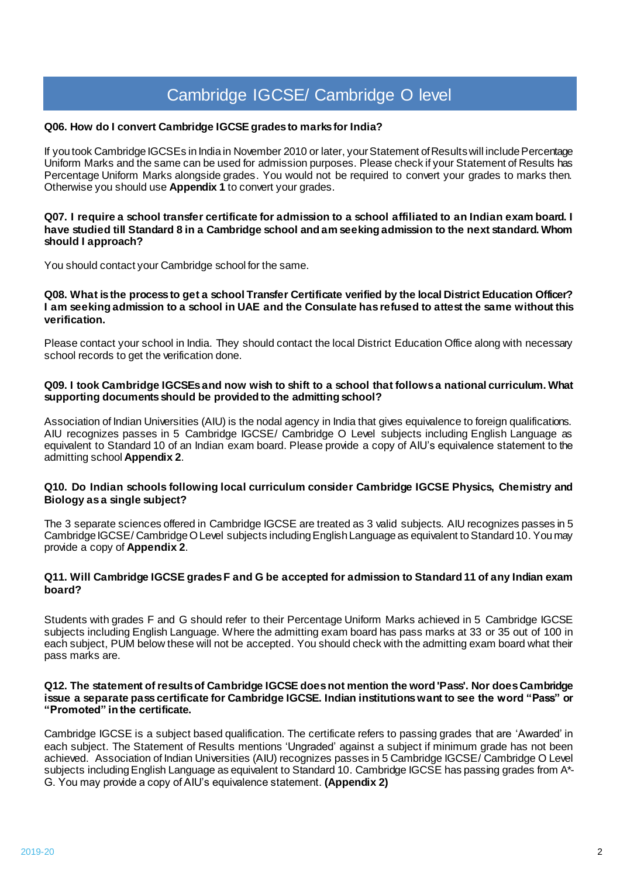# Cambridge IGCSE/ Cambridge O level

#### **Q06. How do I convert Cambridge IGCSE grades to marks for India?**

If you took Cambridge IGCSEs in India in November 2010 or later, your Statement of Resultswill include Percentage Uniform Marks and the same can be used for admission purposes. Please check if your Statement of Results has Percentage Uniform Marks alongside grades. You would not be required to convert your grades to marks then. Otherwise you should use **Appendix 1** to convert your grades.

#### **Q07. I require a school transfer certificate for admission to a school affiliated to an Indian exam board. I have studied till Standard 8 in a Cambridge school and am seeking admission to the next standard. Whom should I approach?**

You should contact your Cambridge school for the same.

#### **Q08. What is the process to get a school Transfer Certificate verified by the local District Education Officer? I am seeking admission to a school in UAE and the Consulate has refused to attest the same without this verification.**

Please contact your school in India. They should contact the local District Education Office along with necessary school records to get the verification done.

#### **Q09. I took Cambridge IGCSEsand now wish to shift to a school that follows a national curriculum. What supporting documents should be provided to the admitting school?**

Association of Indian Universities (AIU) is the nodal agency in India that gives equivalence to foreign qualifications. AIU recognizes passes in 5 Cambridge IGCSE/ Cambridge O Level subjects including English Language as equivalent to Standard 10 of an Indian exam board. Please provide a copy of AIU's equivalence statement to the admitting school **Appendix 2**.

#### **Q10. Do Indian schools following local curriculum consider Cambridge IGCSE Physics, Chemistry and Biology as a single subject?**

The 3 separate sciences offered in Cambridge IGCSE are treated as 3 valid subjects. AIU recognizes passes in 5 Cambridge IGCSE/ Cambridge O Level subjects including English Language as equivalent to Standard 10. You may provide a copy of **Appendix 2**.

#### **Q11. Will Cambridge IGCSE grades F and G be accepted for admission to Standard 11 of any Indian exam board?**

Students with grades F and G should refer to their Percentage Uniform Marks achieved in 5 Cambridge IGCSE subjects including English Language. Where the admitting exam board has pass marks at 33 or 35 out of 100 in each subject, PUM below these will not be accepted. You should check with the admitting exam board what their pass marks are.

#### **Q12. The statement of resultsof Cambridge IGCSE does not mention the word 'Pass'. Nor does Cambridge issue a separate pass certificate for Cambridge IGCSE. Indian institutionswant to see the word "Pass" or "Promoted" in the certificate.**

Cambridge IGCSE is a subject based qualification. The certificate refers to passing grades that are 'Awarded' in each subject. The Statement of Results mentions 'Ungraded' against a subject if minimum grade has not been achieved. Association of Indian Universities (AIU) recognizes passes in 5 Cambridge IGCSE/ Cambridge O Level subjects including English Language as equivalent to Standard 10. Cambridge IGCSE has passing grades from A\*- G. You may provide a copy of AIU's equivalence statement. **(Appendix 2)**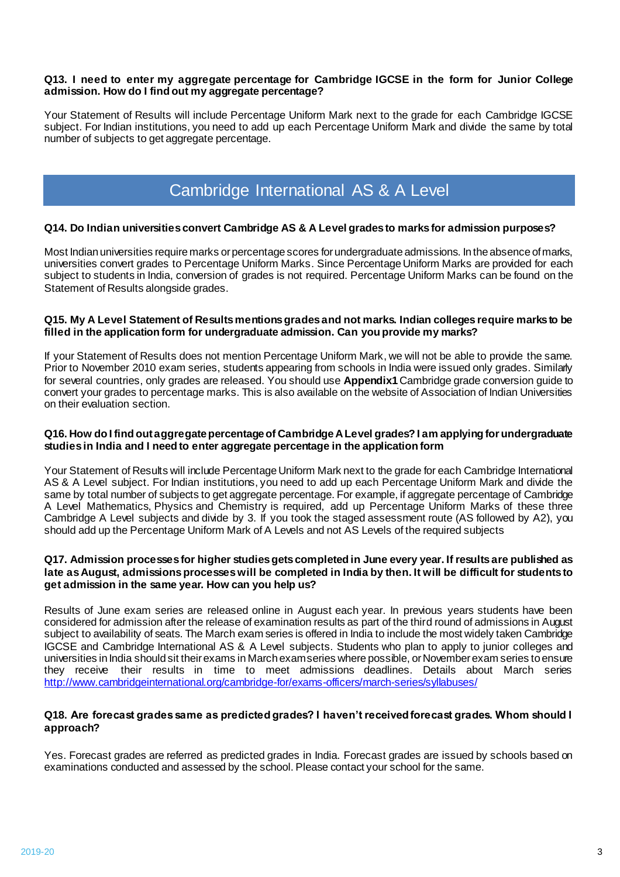#### **Q13. I need to enter my aggregate percentage for Cambridge IGCSE in the form for Junior College admission. How do I find out my aggregate percentage?**

Your Statement of Results will include Percentage Uniform Mark next to the grade for each Cambridge IGCSE subject. For Indian institutions, you need to add up each Percentage Uniform Mark and divide the same by total number of subjects to get aggregate percentage.

## Cambridge International AS & A Level

#### **Q14. Do Indian universities convert Cambridge AS & A Level grades to marks for admission purposes?**

Most Indian universities require marks or percentage scores for undergraduate admissions. In the absence of marks, universities convert grades to Percentage Uniform Marks. Since Percentage Uniform Marks are provided for each subject to students in India, conversion of grades is not required. Percentage Uniform Marks can be found on the Statement of Results alongside grades.

#### **Q15. My A Level Statement of Results mentions grades and not marks. Indian colleges require marks to be filled in the application form for undergraduate admission. Can you provide my marks?**

If your Statement of Results does not mention Percentage Uniform Mark, we will not be able to provide the same. Prior to November 2010 exam series, students appearing from schools in India were issued only grades. Similarly for several countries, only grades are released. You should use **Appendix1** Cambridge grade conversion guide to convert your grades to percentage marks. This is also available on the website of Association of Indian Universities on their evaluation section.

#### **Q16. How do I find out aggregate percentage of Cambridge A Level grades? I am applying for undergraduate studies in India and I need to enter aggregate percentage in the application form**

Your Statement of Results will include Percentage Uniform Mark next to the grade for each Cambridge International AS & A Level subject. For Indian institutions, you need to add up each Percentage Uniform Mark and divide the same by total number of subjects to get aggregate percentage. For example, if aggregate percentage of Cambridge A Level Mathematics, Physics and Chemistry is required, add up Percentage Uniform Marks of these three Cambridge A Level subjects and divide by 3. If you took the staged assessment route (AS followed by A2), you should add up the Percentage Uniform Mark of A Levels and not AS Levels of the required subjects

#### **Q17. Admission processes for higher studies gets completed in June every year. If results are published as late as August, admissions processes will be completed in India by then. It will be difficult for students to get admission in the same year. How can you help us?**

Results of June exam series are released online in August each year. In previous years students have been considered for admission after the release of examination results as part of the third round of admissions in August subject to availability of seats. The March exam series is offered in India to include the most widely taken Cambridge IGCSE and Cambridge International AS & A Level subjects. Students who plan to apply to junior colleges and universities in India should sit their exams in March exam series where possible, or November exam series to ensure they receive their results in time to meet admissions deadlines. Details about March series <http://www.cambridgeinternational.org/cambridge-for/exams-officers/march-series/syllabuses/>

#### **Q18. Are forecast grades same as predicted grades? I haven't received forecast grades. Whom should I approach?**

Yes. Forecast grades are referred as predicted grades in India. Forecast grades are issued by schools based on examinations conducted and assessed by the school. Please contact your school for the same.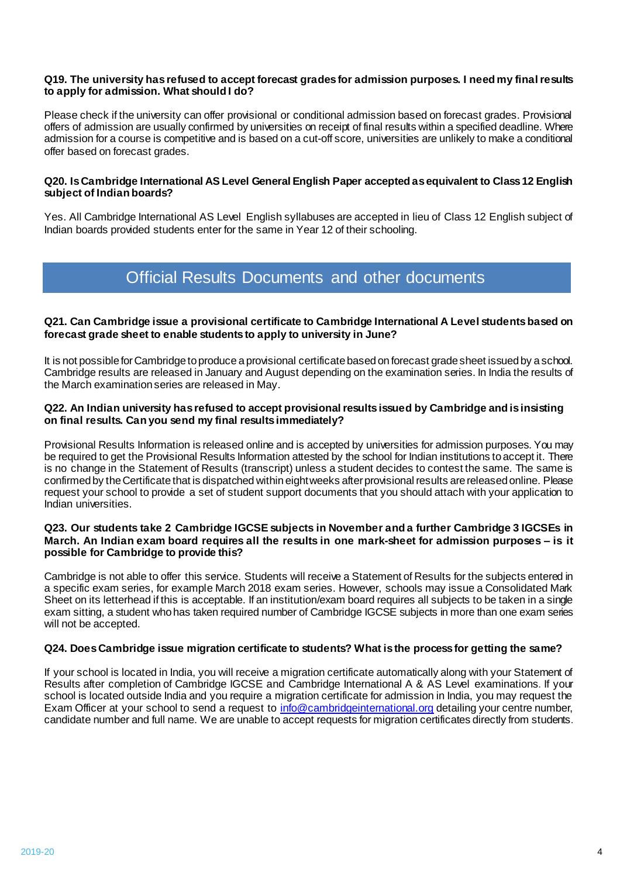#### **Q19. The university has refused to accept forecast grades for admission purposes. I need my final results to apply for admission. What should I do?**

Please check if the university can offer provisional or conditional admission based on forecast grades. Provisional offers of admission are usually confirmed by universities on receipt of final results within a specified deadline. Where admission for a course is competitive and is based on a cut-off score, universities are unlikely to make a conditional offer based on forecast grades.

#### **Q20. IsCambridge International AS Level General English Paper accepted as equivalent to Class 12 English subject of Indian boards?**

Yes. All Cambridge International AS Level English syllabuses are accepted in lieu of Class 12 English subject of Indian boards provided students enter for the same in Year 12 of their schooling.

## Official Results Documents and other documents

#### **Q21. Can Cambridge issue a provisional certificate to Cambridge International A Level students based on forecast grade sheet to enable students to apply to university in June?**

It is not possible for Cambridge to produce a provisional certificate based on forecast grade sheet issued by a school. Cambridge results are released in January and August depending on the examination series. In India the results of the March examination series are released in May.

#### **Q22. An Indian university has refused to accept provisional results issued by Cambridge and is insisting on final results. Can you send my final results immediately?**

Provisional Results Information is released online and is accepted by universities for admission purposes. You may be required to get the Provisional Results Information attested by the school for Indian institutions to accept it. There is no change in the Statement of Results (transcript) unless a student decides to contest the same. The same is confirmed by the Certificate that is dispatched within eight weeks after provisional results are released online. Please request your school to provide a set of student support documents that you should attach with your application to Indian universities.

#### **Q23. Our students take 2 Cambridge IGCSE subjects in November and a further Cambridge 3 IGCSEs in March. An Indian exam board requires all the results in one mark-sheet for admission purposes – is it possible for Cambridge to provide this?**

Cambridge is not able to offer this service. Students will receive a Statement of Results for the subjects entered in a specific exam series, for example March 2018 exam series. However, schools may issue a Consolidated Mark Sheet on its letterhead if this is acceptable. If an institution/exam board requires all subjects to be taken in a single exam sitting, a student who has taken required number of Cambridge IGCSE subjects in more than one exam series will not be accepted.

#### **Q24. Does Cambridge issue migration certificate to students? What is the process for getting the same?**

If your school is located in India, you will receive a migration certificate automatically along with your Statement of Results after completion of Cambridge IGCSE and Cambridge International A & AS Level examinations. If your school is located outside India and you require a migration certificate for admission in India, you may request the Exam Officer at your school to send a request to [info@cambridgeinternational.org](mailto:info@cambridgeinternational.org) detailing your centre number, candidate number and full name. We are unable to accept requests for migration certificates directly from students.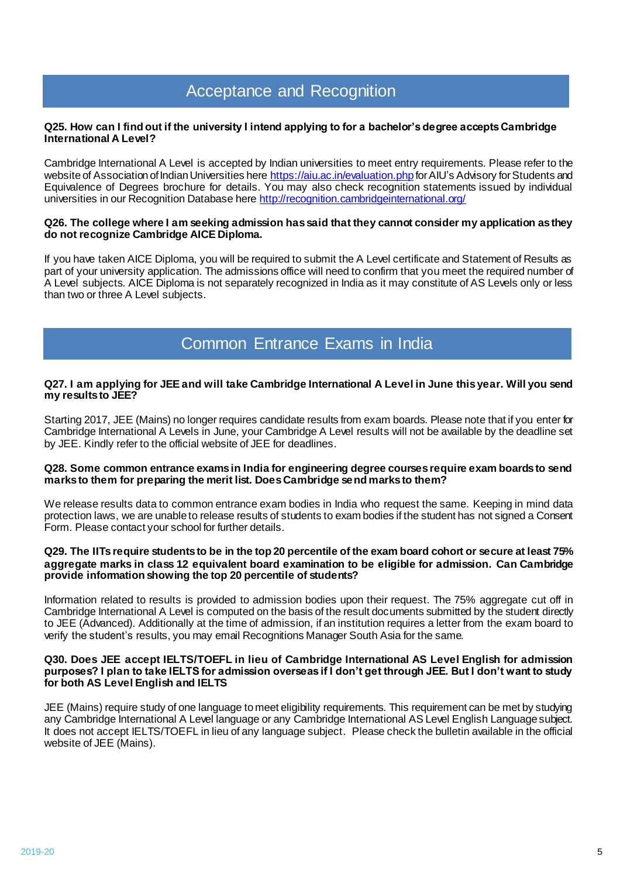## Acceptance and Recognition

#### **Q25. How can I find out if the university I intend applying to for a bachelor's degree accepts Cambridge International A Level?**

Cambridge International A Level is accepted by Indian universities to meet entry requirements. Please refer to the website of Association of Indian Universities here<https://aiu.ac.in/evaluation.php> for AIU's Advisory for Students and Equivalence of Degrees brochure for details. You may also check recognition statements issued by individual universities in our Recognition Database her[e http://recognition.cambridgeinternational.org/](http://recognition.cambridgeinternational.org/)

#### **Q26. The college where I am seeking admission has said that they cannot consider my application as they do not recognize Cambridge AICE Diploma.**

If you have taken AICE Diploma, you will be required to submit the A Level certificate and Statement of Results as part of your university application. The admissions office will need to confirm that you meet the required number of A Level subjects. AICE Diploma is not separately recognized in India as it may constitute of AS Levels only or less than two or three A Level subjects.

## Common Entrance Exams in India

#### **Q27. I am applying for JEE and will take Cambridge International A Level in June this year. Will you send my results to JEE?**

Starting 2017, JEE (Mains) no longer requires candidate results from exam boards. Please note that if you enter for Cambridge International A Levels in June, your Cambridge A Level results will not be available by the deadline set by JEE. Kindly refer to the official website of JEE for deadlines.

#### **Q28. Some common entrance exams in India for engineering degree courses require exam boards to send marks to them for preparing the merit list. Does Cambridge send marks to them?**

We release results data to common entrance exam bodies in India who request the same. Keeping in mind data protection laws, we are unable to release results of students to exam bodies if the student has not signed a Consent Form. Please contact your school for further details.

#### **Q29. The IITs require students to be in the top 20 percentile of the exam board cohort or secure at least 75% aggregate marks in class 12 equivalent board examination to be eligible for admission. Can Cambridge provide information showing the top 20 percentile of students?**

Information related to results is provided to admission bodies upon their request. The 75% aggregate cut off in Cambridge International A Level is computed on the basis of the result documents submitted by the student directly to JEE (Advanced). Additionally at the time of admission, if an institution requires a letter from the exam board to verify the student's results, you may email Recognitions Manager South Asia for the same.

#### **Q30. Does JEE accept IELTS/TOEFL in lieu of Cambridge International AS Level English for admission purposes? I plan to take IELTS for admission overseas if I don't get through JEE. But I don't want to study for both AS Level English and IELTS**

JEE (Mains) require study of one language to meet eligibility requirements. This requirement can be met by studying any Cambridge International A Level language or any Cambridge International AS Level English Language subject. It does not accept IELTS/TOEFL in lieu of any language subject. Please check the bulletin available in the official website of JEE (Mains).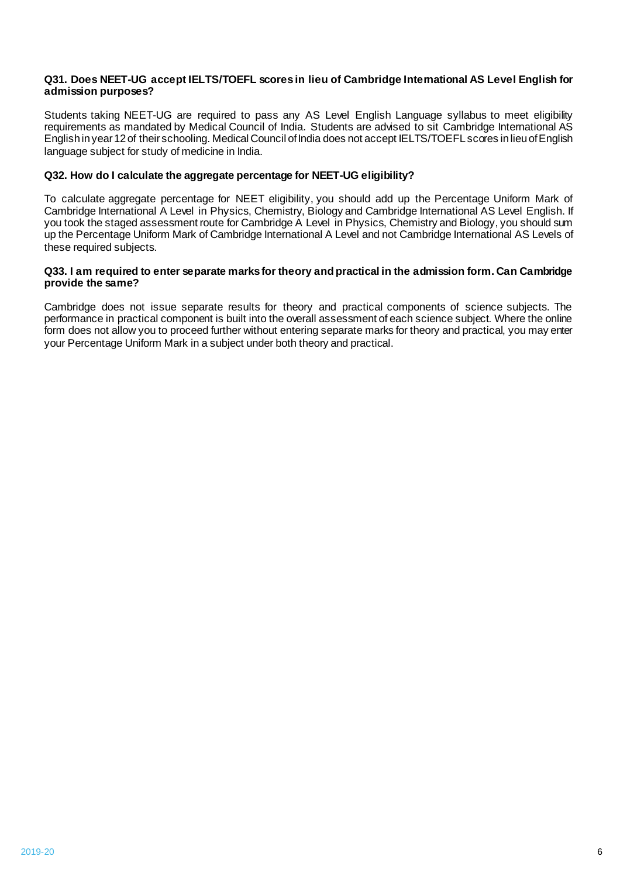#### **Q31. Does NEET-UG accept IELTS/TOEFL scores in lieu of Cambridge International AS Level English for admission purposes?**

Students taking NEET-UG are required to pass any AS Level English Language syllabus to meet eligibility requirements as mandated by Medical Council of India. Students are advised to sit Cambridge International AS English in year 12 of their schooling. Medical Council of India does not accept IELTS/TOEFL scores in lieu of English language subject for study of medicine in India.

#### **Q32. How do I calculate the aggregate percentage for NEET-UG eligibility?**

To calculate aggregate percentage for NEET eligibility, you should add up the Percentage Uniform Mark of Cambridge International A Level in Physics, Chemistry, Biology and Cambridge International AS Level English. If you took the staged assessment route for Cambridge A Level in Physics, Chemistry and Biology, you should sum up the Percentage Uniform Mark of Cambridge International A Level and not Cambridge International AS Levels of these required subjects.

#### **Q33. I am required to enter separate marks for theory and practical in the admission form. Can Cambridge provide the same?**

Cambridge does not issue separate results for theory and practical components of science subjects. The performance in practical component is built into the overall assessment of each science subject. Where the online form does not allow you to proceed further without entering separate marks for theory and practical, you may enter your Percentage Uniform Mark in a subject under both theory and practical.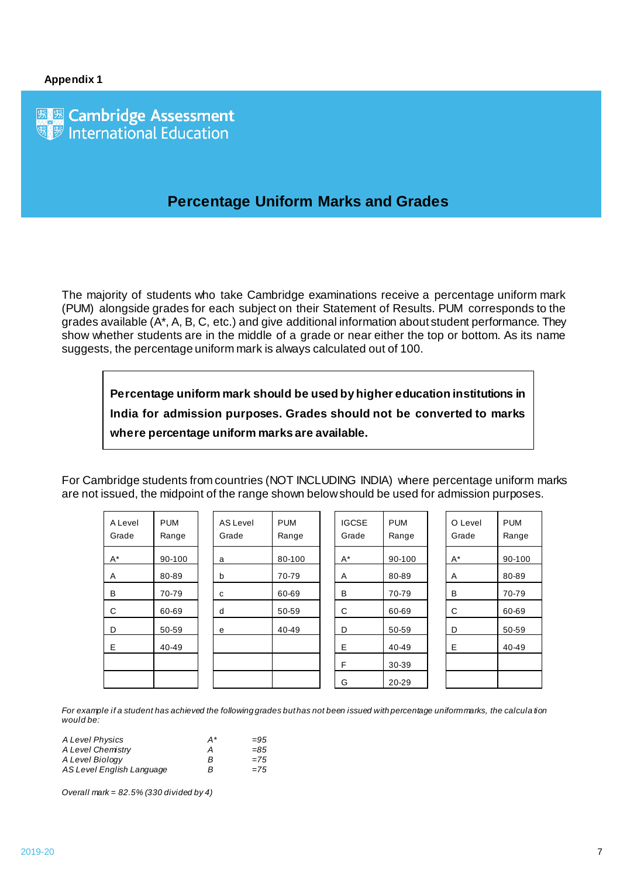图题 Cambridge Assessment<br><sup>®题</sup> International Education

### **Percentage Uniform Marks and Grades**

The majority of students who take Cambridge examinations receive a percentage uniform mark (PUM) alongside grades for each subject on their Statement of Results. PUM corresponds to the grades available (A\*, A, B, C, etc.) and give additional information about student performance. They show whether students are in the middle of a grade or near either the top or bottom. As its name suggests, the percentage uniform mark is always calculated out of 100.

**Percentage uniform mark should be used by higher education institutions in India for admission purposes. Grades should not be converted to marks where percentage uniform marks are available.**

For Cambridge students from countries (NOT INCLUDING INDIA) where percentage uniform marks are not issued, the midpoint of the range shown below should be used for admission purposes.

| A Level<br>Grade | <b>PUM</b><br>Range | AS Level<br>Grade | <b>PUM</b><br>Range | <b>IGCSE</b><br>Grade | <b>PUM</b><br>Range | O Level<br>Grade | <b>PUM</b><br>Range |
|------------------|---------------------|-------------------|---------------------|-----------------------|---------------------|------------------|---------------------|
| $A^*$            | 90-100              | a                 | 80-100              | $A^*$                 | 90-100              | $A^*$            | 90-100              |
| Α                | 80-89               | b                 | 70-79               | A                     | 80-89               | A                | 80-89               |
| в                | 70-79               | C                 | 60-69               | B                     | 70-79               | B                | 70-79               |
| C                | 60-69               | d                 | 50-59               | C                     | 60-69               | C                | 60-69               |
| D                | 50-59               | e                 | 40-49               | D                     | 50-59               | D                | 50-59               |
| E                | 40-49               |                   |                     | E                     | 40-49               | E                | 40-49               |
|                  |                     |                   |                     | F                     | 30-39               |                  |                     |
|                  |                     |                   |                     | G                     | 20-29               |                  |                     |

*For example if a student has achieved the following grades but has not been issued with percentage uniform marks, the calcula tion would be:*

| A Level Physics           | A* | $=95$ |
|---------------------------|----|-------|
| A Level Chemistry         | А  | $=85$ |
| A Level Biology           | B  | $=75$ |
| AS Level English Language | B  | $=75$ |

*Overall mark = 82.5% (330 divided by 4)*